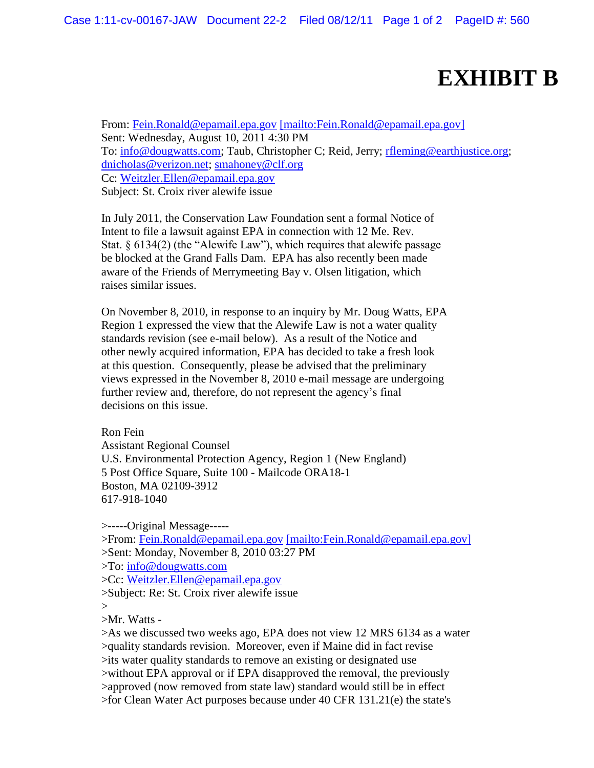## **EXHIBIT B**

From: [Fein.Ronald@epamail.epa.gov](mailto:Fein.Ronald@epamail.epa.gov) [\[mailto:Fein.Ronald@epamail.epa.gov\]](mailto:[mailto:Fein.Ronald@epamail.epa.gov]) Sent: Wednesday, August 10, 2011 4:30 PM To: [info@dougwatts.com;](mailto:info@dougwatts.com) Taub, Christopher C; Reid, Jerry; [rfleming@earthjustice.org;](mailto:rfleming@earthjustice.org) [dnicholas@verizon.net;](mailto:dnicholas@verizon.net) [smahoney@clf.org](mailto:smahoney@clf.org) Cc: [Weitzler.Ellen@epamail.epa.gov](mailto:Weitzler.Ellen@epamail.epa.gov) Subject: St. Croix river alewife issue

In July 2011, the Conservation Law Foundation sent a formal Notice of Intent to file a lawsuit against EPA in connection with 12 Me. Rev. Stat. § 6134(2) (the "Alewife Law"), which requires that alewife passage be blocked at the Grand Falls Dam. EPA has also recently been made aware of the Friends of Merrymeeting Bay v. Olsen litigation, which raises similar issues.

On November 8, 2010, in response to an inquiry by Mr. Doug Watts, EPA Region 1 expressed the view that the Alewife Law is not a water quality standards revision (see e-mail below). As a result of the Notice and other newly acquired information, EPA has decided to take a fresh look at this question. Consequently, please be advised that the preliminary views expressed in the November 8, 2010 e-mail message are undergoing further review and, therefore, do not represent the agency's final decisions on this issue.

Ron Fein Assistant Regional Counsel U.S. Environmental Protection Agency, Region 1 (New England) 5 Post Office Square, Suite 100 - Mailcode ORA18-1 Boston, MA 02109-3912 617-918-1040

>-----Original Message-----

>From: [Fein.Ronald@epamail.epa.gov](mailto:Fein.Ronald@epamail.epa.gov) [\[mailto:Fein.Ronald@epamail.epa.gov\]](mailto:[mailto:Fein.Ronald@epamail.epa.gov]) >Sent: Monday, November 8, 2010 03:27 PM

>To: [info@dougwatts.com](mailto:info@dougwatts.com)

>Cc: [Weitzler.Ellen@epamail.epa.gov](mailto:Weitzler.Ellen@epamail.epa.gov)

>Subject: Re: St. Croix river alewife issue

>

>Mr. Watts -

>As we discussed two weeks ago, EPA does not view 12 MRS 6134 as a water >quality standards revision. Moreover, even if Maine did in fact revise >its water quality standards to remove an existing or designated use >without EPA approval or if EPA disapproved the removal, the previously >approved (now removed from state law) standard would still be in effect >for Clean Water Act purposes because under 40 CFR 131.21(e) the state's